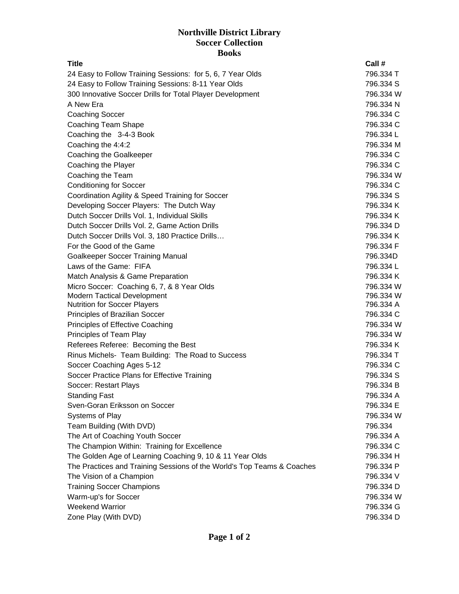## **Northville District Library Soccer Collection Books**

| <b>Title</b>                                                           |  | Call #    |
|------------------------------------------------------------------------|--|-----------|
| 24 Easy to Follow Training Sessions: for 5, 6, 7 Year Olds             |  | 796.334 T |
| 24 Easy to Follow Training Sessions: 8-11 Year Olds                    |  | 796.334 S |
| 300 Innovative Soccer Drills for Total Player Development              |  | 796.334 W |
| A New Era                                                              |  | 796.334 N |
| <b>Coaching Soccer</b>                                                 |  | 796.334 C |
| Coaching Team Shape                                                    |  | 796.334 C |
| Coaching the 3-4-3 Book                                                |  | 796.334L  |
| Coaching the 4:4:2                                                     |  | 796.334 M |
| Coaching the Goalkeeper                                                |  | 796.334 C |
| Coaching the Player                                                    |  | 796.334 C |
| Coaching the Team                                                      |  | 796.334 W |
| <b>Conditioning for Soccer</b>                                         |  | 796.334 C |
| Coordination Agility & Speed Training for Soccer                       |  | 796.334 S |
| Developing Soccer Players: The Dutch Way                               |  | 796.334 K |
| Dutch Soccer Drills Vol. 1, Individual Skills                          |  | 796.334 K |
| Dutch Soccer Drills Vol. 2, Game Action Drills                         |  | 796.334 D |
| Dutch Soccer Drills Vol. 3, 180 Practice Drills                        |  | 796.334 K |
| For the Good of the Game                                               |  | 796.334 F |
| <b>Goalkeeper Soccer Training Manual</b>                               |  | 796.334D  |
| Laws of the Game: FIFA                                                 |  | 796.334L  |
| Match Analysis & Game Preparation                                      |  | 796.334 K |
| Micro Soccer: Coaching 6, 7, & 8 Year Olds                             |  | 796.334 W |
| <b>Modern Tactical Development</b>                                     |  | 796.334 W |
| <b>Nutrition for Soccer Players</b>                                    |  | 796.334 A |
| Principles of Brazilian Soccer                                         |  | 796.334 C |
| Principles of Effective Coaching                                       |  | 796.334 W |
| Principles of Team Play                                                |  | 796.334 W |
| Referees Referee: Becoming the Best                                    |  | 796.334 K |
| Rinus Michels- Team Building: The Road to Success                      |  | 796.334 T |
| Soccer Coaching Ages 5-12                                              |  | 796.334 C |
| Soccer Practice Plans for Effective Training                           |  | 796.334 S |
| Soccer: Restart Plays                                                  |  | 796.334 B |
| <b>Standing Fast</b>                                                   |  | 796.334 A |
| Sven-Goran Eriksson on Soccer                                          |  | 796.334 E |
| Systems of Play                                                        |  | 796.334 W |
| Team Building (With DVD)                                               |  | 796.334   |
| The Art of Coaching Youth Soccer                                       |  | 796.334 A |
| The Champion Within: Training for Excellence                           |  | 796.334 C |
| The Golden Age of Learning Coaching 9, 10 & 11 Year Olds               |  | 796.334 H |
| The Practices and Training Sessions of the World's Top Teams & Coaches |  | 796.334 P |
| The Vision of a Champion                                               |  | 796.334 V |
| <b>Training Soccer Champions</b>                                       |  | 796.334 D |
| Warm-up's for Soccer                                                   |  | 796.334 W |
| <b>Weekend Warrior</b>                                                 |  | 796.334 G |
| Zone Play (With DVD)                                                   |  | 796.334 D |
|                                                                        |  |           |